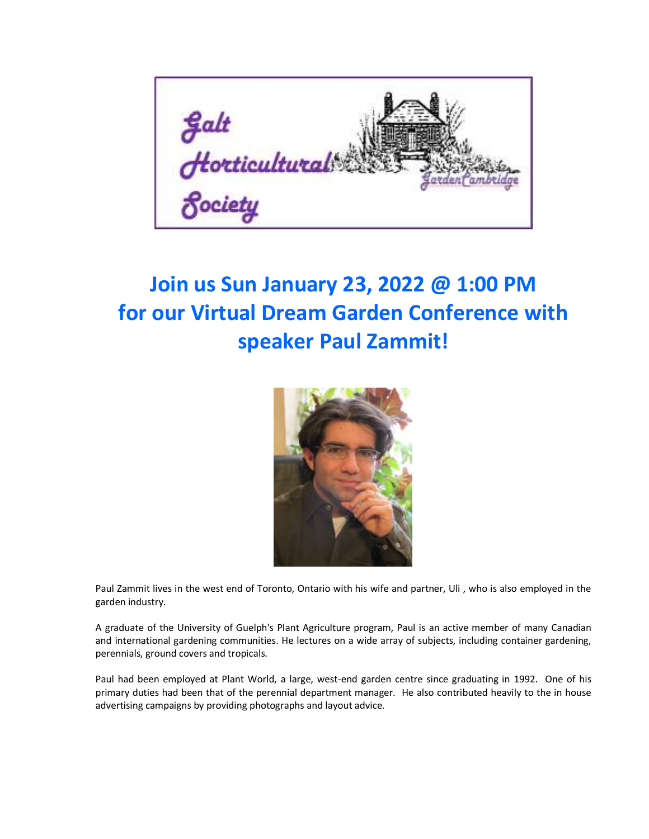

## **Join us Sun January 23, 2022 @ 1:00 PM for our Virtual Dream Garden Conference with speaker Paul Zammit!**



Paul Zammit lives in the west end of Toronto, Ontario with his wife and partner, Uli , who is also employed in the garden industry.

A graduate of the University of Guelph's Plant Agriculture program, Paul is an active member of many Canadian and international gardening communities. He lectures on a wide array of subjects, including container gardening, perennials, ground covers and tropicals.

Paul had been employed at Plant World, a large, west-end garden centre since graduating in 1992. One of his primary duties had been that of the perennial department manager. He also contributed heavily to the in house advertising campaigns by providing photographs and layout advice.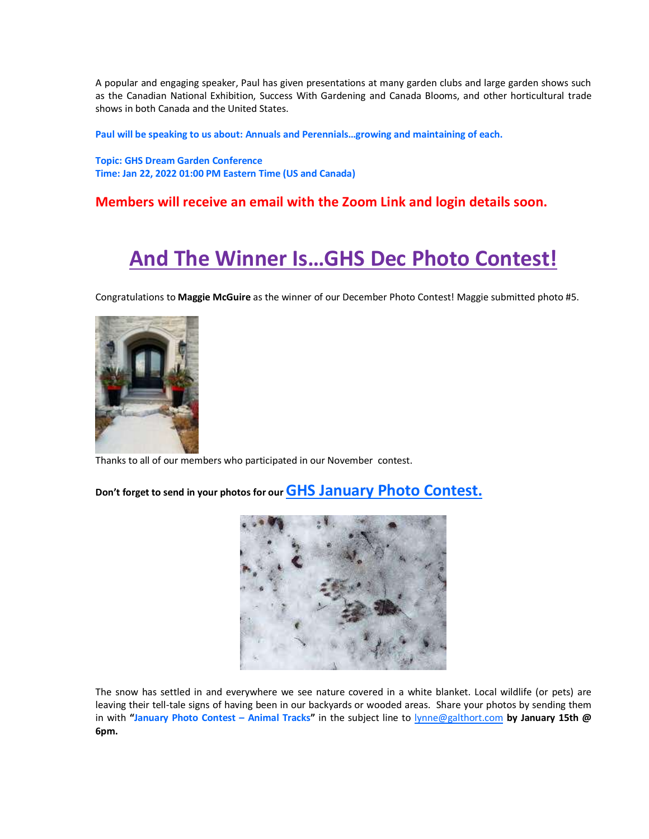A popular and engaging speaker, Paul has given presentations at many garden clubs and large garden shows such as the Canadian National Exhibition, Success With Gardening and Canada Blooms, and other horticultural trade shows in both Canada and the United States.

**Paul will be speaking to us about: Annuals and Perennials…growing and maintaining of each.**

**Topic: GHS Dream Garden Conference Time: Jan 22, 2022 01:00 PM Eastern Time (US and Canada)**

#### **Members will receive an email with the Zoom Link and login details soon.**

### **And The Winner Is…GHS Dec Photo Contest!**

Congratulations to **Maggie McGuire** as the winner of our December Photo Contest! Maggie submitted photo #5.



Thanks to all of our members who participated in our November contest.

**Don't forget to send in your photos for our GHS January Photo Contest.**



The snow has settled in and everywhere we see nature covered in a white blanket. Local wildlife (or pets) are leaving their tell-tale signs of having been in our backyards or wooded areas. Share your photos by sending them in with **"January Photo Contest – Animal Tracks"** in the subject line to [lynne@galthort.com](mailto:lynne@galthort.com) **by January 15th @ 6pm.**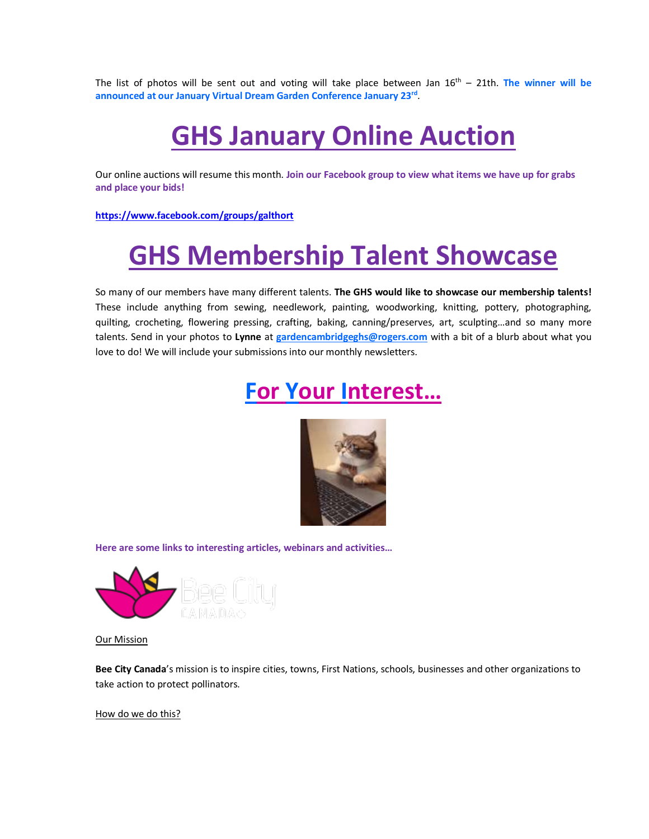The list of photos will be sent out and voting will take place between Jan 16 th – 21th. **The winner will be announced at our January Virtual Dream Garden Conference January 23rd** .

# **GHS January Online Auction**

Our online auctions will resume this month. **Join our Facebook group to view what items we have up for grabs and place your bids!**

**<https://www.facebook.com/groups/galthort>**

# **GHS Membership Talent Showcase**

So many of our members have many different talents. **The GHS would like to showcase our membership talents!** These include anything from sewing, needlework, painting, woodworking, knitting, pottery, photographing, quilting, crocheting, flowering pressing, crafting, baking, canning/preserves, art, sculpting…and so many more talents. Send in your photos to **Lynne** at **[gardencambridgeghs@rogers.com](mailto:gardencambridgeghs@rogers.com)** with a bit of a blurb about what you love to do! We will include your submissions into our monthly newsletters.

### **For Your Interest…**



**Here are some links to interesting articles, webinars and activities…**



Our Mission

**Bee City Canada**'s mission is to inspire cities, towns, First Nations, schools, businesses and other organizations to take action to protect pollinators.

How do we do this?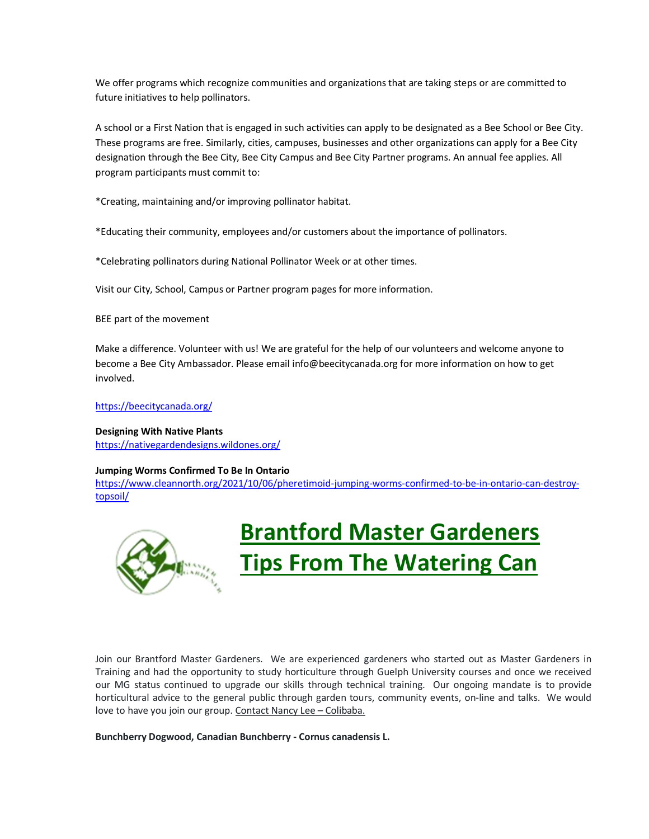We offer programs which recognize communities and organizations that are taking steps or are committed to future initiatives to help pollinators.

A school or a First Nation that is engaged in such activities can apply to be designated as a Bee School or Bee City. These programs are free. Similarly, cities, campuses, businesses and other organizations can apply for a Bee City designation through the Bee City, Bee City Campus and Bee City Partner programs. An annual fee applies. All program participants must commit to:

\*Creating, maintaining and/or improving pollinator habitat.

\*Educating their community, employees and/or customers about the importance of pollinators.

\*Celebrating pollinators during National Pollinator Week or at other times.

Visit our City, School, Campus or Partner program pages for more information.

BEE part of the movement

Make a difference. Volunteer with us! We are grateful for the help of our volunteers and welcome anyone to become a Bee City Ambassador. Please email info@beecitycanada.org for more information on how to get involved.

<https://beecitycanada.org/>

**Designing With Native Plants** <https://nativegardendesigns.wildones.org/>

#### **Jumping Worms Confirmed To Be In Ontario**

[https://www.cleannorth.org/2021/10/06/pheretimoid-jumping-worms-confirmed-to-be-in-ontario-can-destroy](https://www.cleannorth.org/2021/10/06/pheretimoid-jumping-worms-confirmed-to-be-in-ontario-can-destroy-topsoil/)[topsoil/](https://www.cleannorth.org/2021/10/06/pheretimoid-jumping-worms-confirmed-to-be-in-ontario-can-destroy-topsoil/)



# **Brantford Master Gardeners Tips From The Watering Can**

Join our Brantford Master Gardeners. We are experienced gardeners who started out as Master Gardeners in Training and had the opportunity to study horticulture through Guelph University courses and once we received our MG status continued to upgrade our skills through technical training. Our ongoing mandate is to provide horticultural advice to the general public through garden tours, community events, on-line and talks. We would love to have you join our group. Contact Nancy Lee - Colibaba.

**Bunchberry Dogwood, Canadian Bunchberry - Cornus canadensis L.**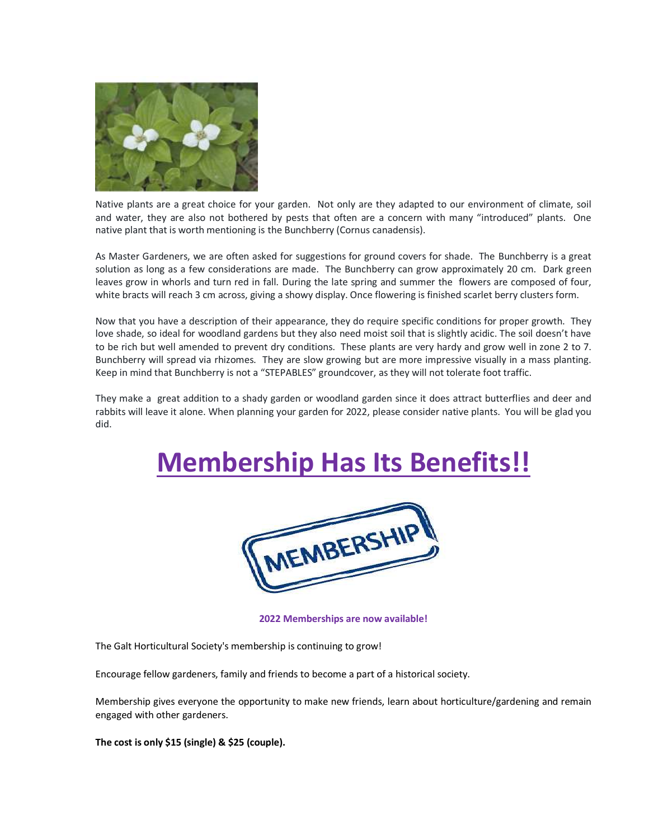

Native plants are a great choice for your garden. Not only are they adapted to our environment of climate, soil and water, they are also not bothered by pests that often are a concern with many "introduced" plants. One native plant that is worth mentioning is the Bunchberry (Cornus canadensis).

As Master Gardeners, we are often asked for suggestions for ground covers for shade. The Bunchberry is a great solution as long as a few considerations are made. The Bunchberry can grow approximately 20 cm. Dark green leaves grow in whorls and turn red in fall. During the late spring and summer the flowers are composed of four, white bracts will reach 3 cm across, giving a showy display. Once flowering is finished scarlet berry clusters form.

Now that you have a description of their appearance, they do require specific conditions for proper growth. They love shade, so ideal for woodland gardens but they also need moist soil that is slightly acidic. The soil doesn't have to be rich but well amended to prevent dry conditions. These plants are very hardy and grow well in zone 2 to 7. Bunchberry will spread via rhizomes. They are slow growing but are more impressive visually in a mass planting. Keep in mind that Bunchberry is not a "STEPABLES" groundcover, as they will not tolerate foot traffic.

They make a great addition to a shady garden or woodland garden since it does attract butterflies and deer and rabbits will leave it alone. When planning your garden for 2022, please consider native plants. You will be glad you did.

# **Membership Has Its Benefits!!**



**2022 Memberships are now available!**

The Galt Horticultural Society's membership is continuing to grow!

Encourage fellow gardeners, family and friends to become a part of a historical society.

Membership gives everyone the opportunity to make new friends, learn about horticulture/gardening and remain engaged with other gardeners.

**The cost is only \$15 (single) & \$25 (couple).**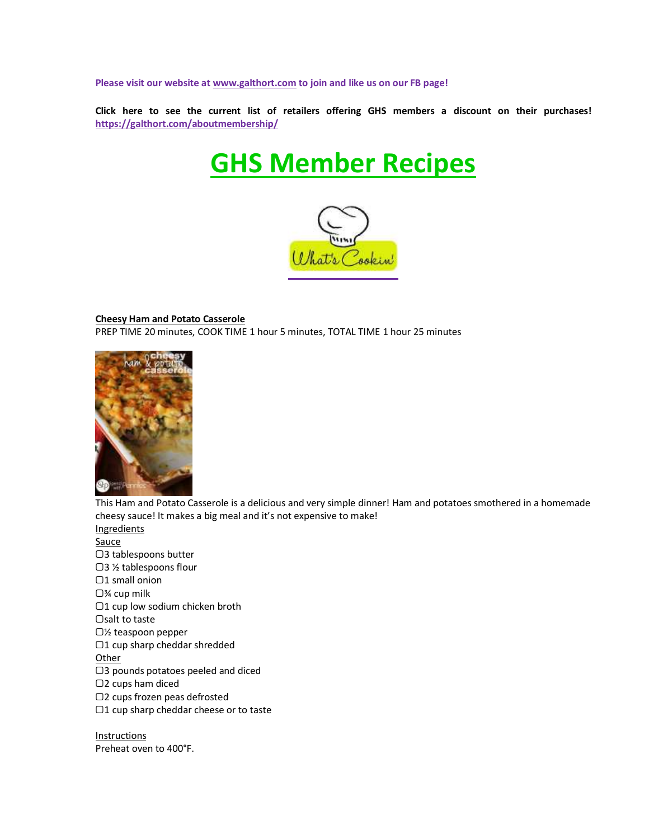**Please visit our website a[t www.galthort.com](http://www.galthort.com/) to join and like us on our FB page!**

**Click here to see the current list of retailers offering GHS members a discount on their purchases! <https://galthort.com/aboutmembership/>**

# **GHS Member Recipes**



#### **Cheesy Ham and Potato Casserole**

PREP TIME 20 minutes, COOK TIME 1 hour 5 minutes, TOTAL TIME 1 hour 25 minutes



This Ham and Potato Casserole is a delicious and very simple dinner! Ham and potatoes smothered in a homemade cheesy sauce! It makes a big meal and it's not expensive to make! **Ingredients** 

**Sauce** ▢3 tablespoons butter ▢3 ½ tablespoons flour ▢1 small onion ▢¾ cup milk ▢1 cup low sodium chicken broth ▢salt to taste ▢½ teaspoon pepper ▢1 cup sharp cheddar shredded **Other** ▢3 pounds potatoes peeled and diced ▢2 cups ham diced ▢2 cups frozen peas defrosted ▢1 cup sharp cheddar cheese or to taste

Instructions Preheat oven to 400°F.